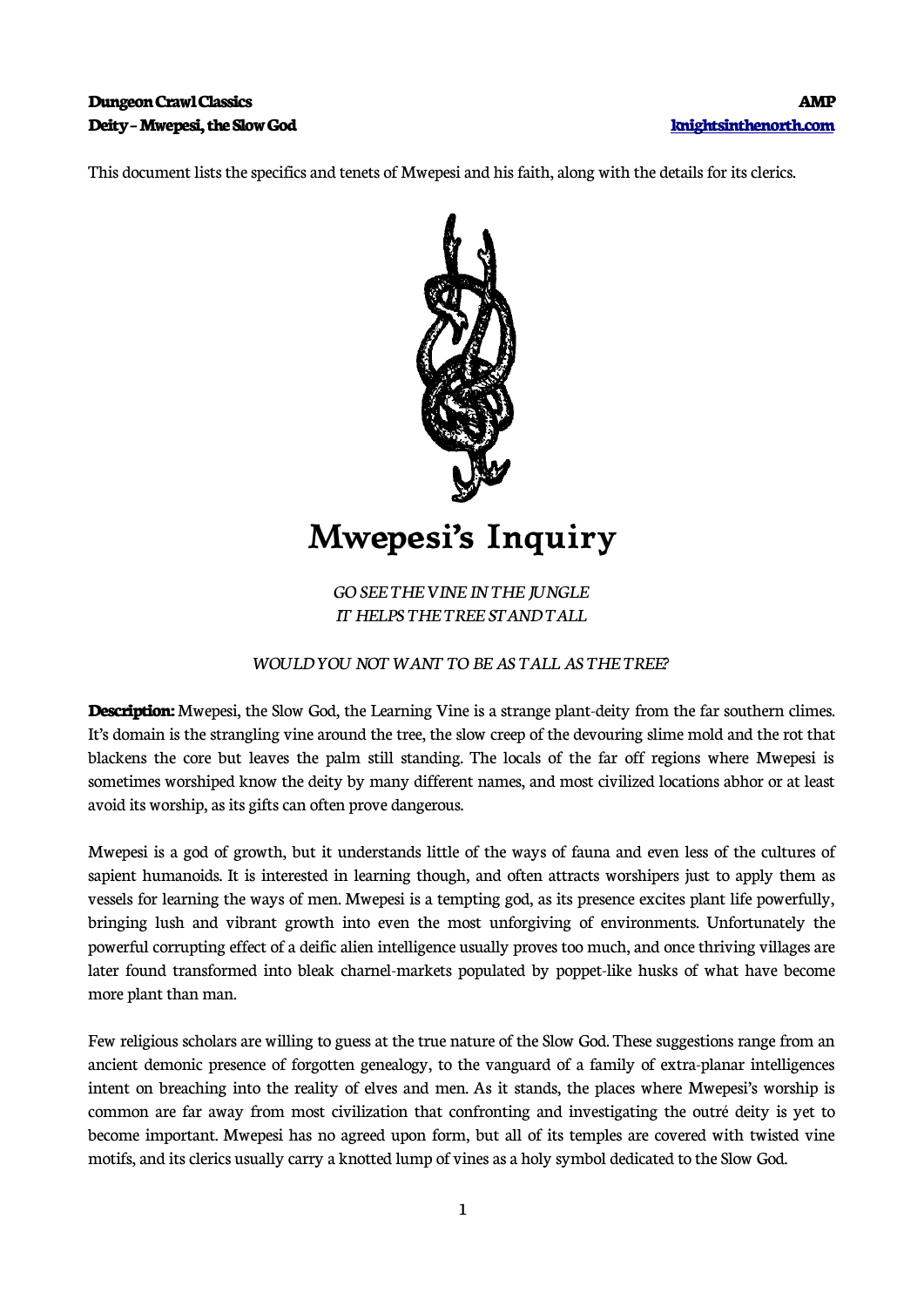### **Dungeon Crawl Classics AMP Deity – Mwepesi, the Slow God [knightsinthenorth.com](http://knightsinthenorth.com/)**

This document lists the specifics and tenets of Mwepesi and his faith, along with the details for its clerics.



# **Mwepesi's Inquiry**

*GO SEE THE VINE IN THE JUNGLE IT HELPS THE TREE STAND TALL*

#### *WOULD YOU NOT WANT TO BE AS TALL AS THE TREE?*

**Description:** Mwepesi, the Slow God, the Learning Vine is a strange plant-deity from the far southern climes. It's domain is the strangling vine around the tree, the slow creep of the devouring slime mold and the rot that blackens the core but leaves the palm still standing. The locals of the far off regions where Mwepesi is sometimes worshiped know the deity by many different names, and most civilized locations abhor or at least avoid its worship, as its gifts can often prove dangerous.

Mwepesi is a god of growth, but it understands little of the ways of fauna and even less of the cultures of sapient humanoids. It is interested in learning though, and often attracts worshipers just to apply them as vessels for learning the ways of men. Mwepesi is a tempting god, as its presence excites plant life powerfully, bringing lush and vibrant growth into even the most unforgiving of environments. Unfortunately the powerful corrupting effect of a deific alien intelligence usually proves too much, and once thriving villages are later found transformed into bleak charnel-markets populated by poppet-like husks of what have become more plant than man.

Few religious scholars are willing to guess at the true nature of the Slow God. These suggestions range from an ancient demonic presence of forgotten genealogy, to the vanguard of a family of extra-planar intelligences intent on breaching into the reality of elves and men. As it stands, the places where Mwepesi's worship is common are far away from most civilization that confronting and investigating the outré deity is yet to become important. Mwepesi has no agreed upon form, but all of its temples are covered with twisted vine motifs, and its clerics usually carry a knotted lump of vines as a holy symbol dedicated to the Slow God.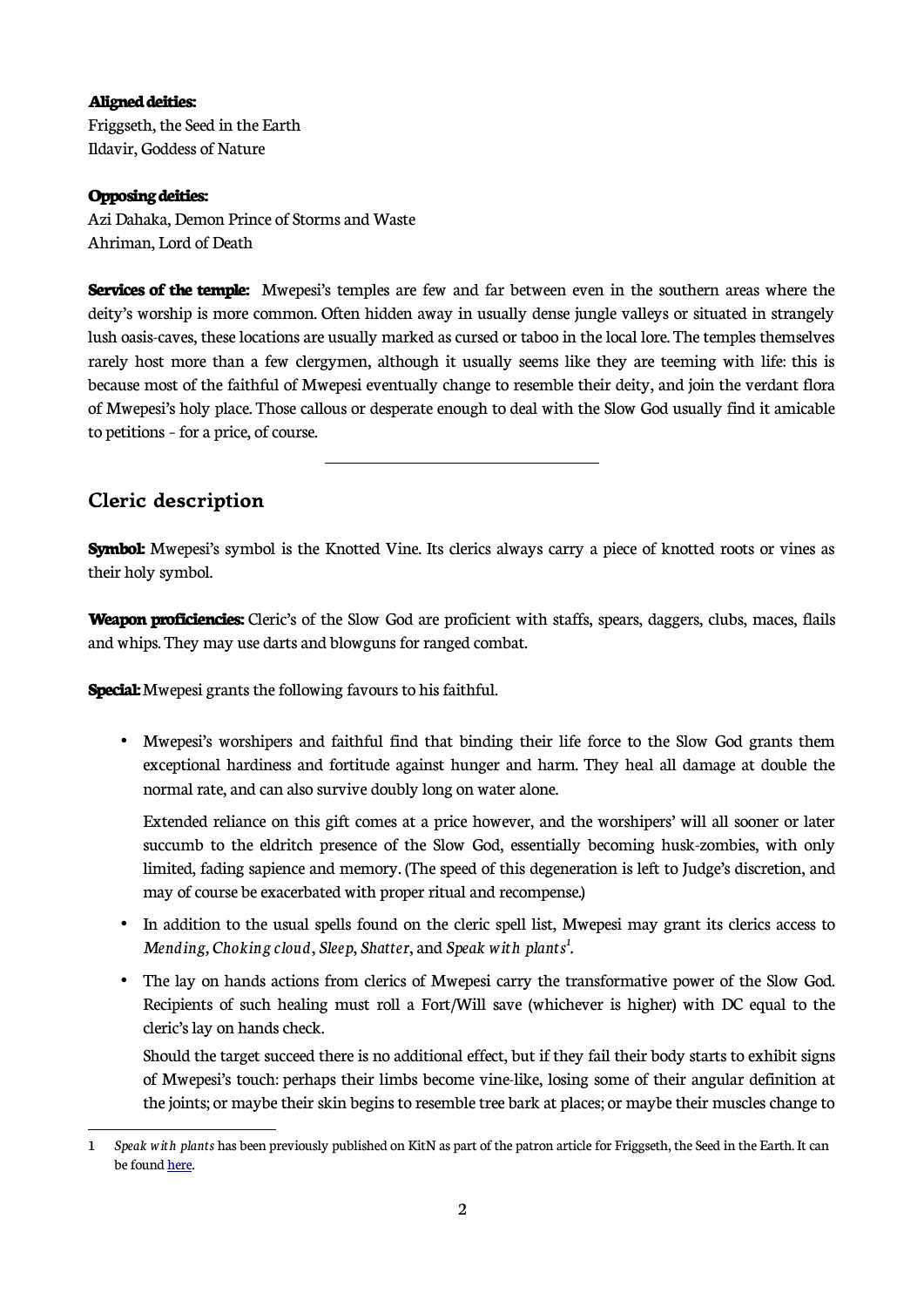#### **Aligned deities:**

Friggseth, the Seed in the Earth Ildavir, Goddess of Nature

#### **Opposing deities:**

Azi Dahaka, Demon Prince of Storms and Waste Ahriman, Lord of Death

**Services of the temple:** Mwepesi's temples are few and far between even in the southern areas where the deity's worship is more common. Often hidden away in usually dense jungle valleys or situated in strangely lush oasis-caves, these locations are usually marked as cursed or taboo in the local lore. The temples themselves rarely host more than a few clergymen, although it usually seems like they are teeming with life: this is because most of the faithful of Mwepesi eventually change to resemble their deity, and join the verdant flora of Mwepesi's holy place. Those callous or desperate enough to deal with the Slow God usually find it amicable to petitions – for a price, of course.

## **Cleric description**

**Symbol:** Mwepesi's symbol is the Knotted Vine. Its clerics always carry a piece of knotted roots or vines as their holy symbol.

**Weapon proficiencies:** Cleric's of the Slow God are proficient with staffs, spears, daggers, clubs, maces, flails and whips. They may use darts and blowguns for ranged combat.

**Special:** Mwepesi grants the following favours to his faithful.

 $\overline{a}$ 

• Mwepesi's worshipers and faithful find that binding their life force to the Slow God grants them exceptional hardiness and fortitude against hunger and harm. They heal all damage at double the normal rate, and can also survive doubly long on water alone.

Extended reliance on this gift comes at a price however, and the worshipers' will all sooner or later succumb to the eldritch presence of the Slow God, essentially becoming husk-zombies, with only limited, fading sapience and memory. (The speed of this degeneration is left to Judge's discretion, and may of course be exacerbated with proper ritual and recompense.)

- In addition to the usual spells found on the cleric spell list, Mwepesi may grant its clerics access to *Mending, Choking cloud*, *Sleep*, *Shatter*, and *Speak with plants[1](#page-1-0) .*
- The lay on hands actions from clerics of Mwepesi carry the transformative power of the Slow God. Recipients of such healing must roll a Fort/Will save (whichever is higher) with DC equal to the cleric's lay on hands check.

Should the target succeed there is no additional effect, but if they fail their body starts to exhibit signs of Mwepesi's touch: perhaps their limbs become vine-like, losing some of their angular definition at the joints; or maybe their skin begins to resemble tree bark at places; or maybe their muscles change to

<span id="page-1-0"></span><sup>1</sup> *Speak with plants* has been previously published on KitN as part of the patron article for Friggseth, the Seed in the Earth. It can be found [here.](https://www.knightsinthenorth.com/friggseth-the-seed-in-the-earth/)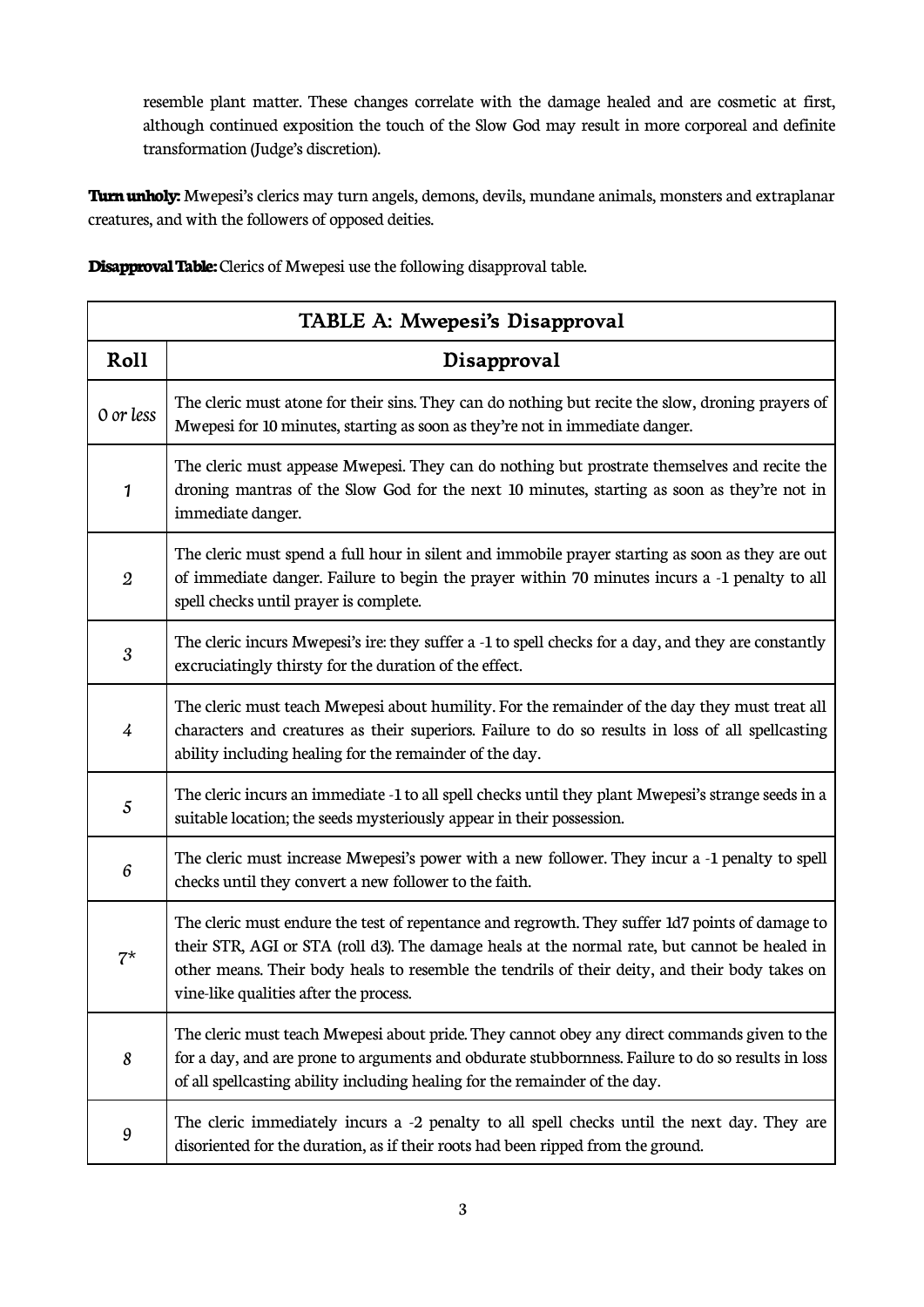resemble plant matter. These changes correlate with the damage healed and are cosmetic at first, although continued exposition the touch of the Slow God may result in more corporeal and definite transformation (Judge's discretion).

**Turn unholy:** Mwepesi's clerics may turn angels, demons, devils, mundane animals, monsters and extraplanar creatures, and with the followers of opposed deities.

**Disapproval Table:** Clerics of Mwepesi use the following disapproval table.

| TABLE A: Mwepesi's Disapproval |                                                                                                                                                                                                                                                                                                                                              |  |
|--------------------------------|----------------------------------------------------------------------------------------------------------------------------------------------------------------------------------------------------------------------------------------------------------------------------------------------------------------------------------------------|--|
| Roll                           | Disapproval                                                                                                                                                                                                                                                                                                                                  |  |
| 0 or less                      | The cleric must atone for their sins. They can do nothing but recite the slow, droning prayers of<br>Mwepesi for 10 minutes, starting as soon as they're not in immediate danger.                                                                                                                                                            |  |
| 1                              | The cleric must appease Mwepesi. They can do nothing but prostrate themselves and recite the<br>droning mantras of the Slow God for the next 10 minutes, starting as soon as they're not in<br>immediate danger.                                                                                                                             |  |
| $\boldsymbol{2}$               | The cleric must spend a full hour in silent and immobile prayer starting as soon as they are out<br>of immediate danger. Failure to begin the prayer within 70 minutes incurs a -1 penalty to all<br>spell checks until prayer is complete.                                                                                                  |  |
| 3                              | The cleric incurs Mwepesi's ire: they suffer a -1 to spell checks for a day, and they are constantly<br>excruciatingly thirsty for the duration of the effect.                                                                                                                                                                               |  |
| $\frac{1}{4}$                  | The cleric must teach Mwepesi about humility. For the remainder of the day they must treat all<br>characters and creatures as their superiors. Failure to do so results in loss of all spellcasting<br>ability including healing for the remainder of the day.                                                                               |  |
| 5                              | The cleric incurs an immediate -1 to all spell checks until they plant Mwepesi's strange seeds in a<br>suitable location; the seeds mysteriously appear in their possession.                                                                                                                                                                 |  |
| $\boldsymbol{6}$               | The cleric must increase Mwepesi's power with a new follower. They incur a -1 penalty to spell<br>checks until they convert a new follower to the faith.                                                                                                                                                                                     |  |
| $7^{\star}$                    | The cleric must endure the test of repentance and regrowth. They suffer 1d7 points of damage to<br>their STR, AGI or STA (roll d3). The damage heals at the normal rate, but cannot be healed in<br>other means. Their body heals to resemble the tendrils of their deity, and their body takes on<br>vine-like qualities after the process. |  |
| 8                              | The cleric must teach Mwepesi about pride. They cannot obey any direct commands given to the<br>for a day, and are prone to arguments and obdurate stubbornness. Failure to do so results in loss<br>of all spellcasting ability including healing for the remainder of the day.                                                             |  |
| 9                              | The cleric immediately incurs a -2 penalty to all spell checks until the next day. They are<br>disoriented for the duration, as if their roots had been ripped from the ground.                                                                                                                                                              |  |